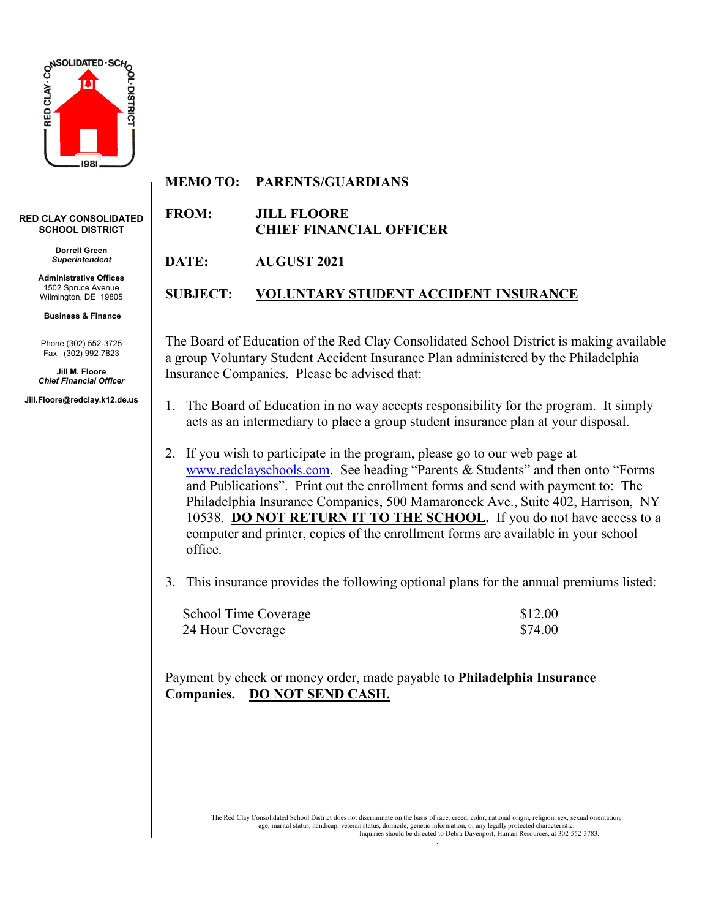

## **RED CLAY CONSOLIDATED SCHOOL DISTRICT**

**Dorrell Green** *Superintendent*

**Administrative Offices** 1502 Spruce Avenue Wilmington, DE 19805

**Business & Finance**

Phone (302) 552-3725 Fax (302) 992-7823

**Jill M. Floore** *Chief Financial Officer*

**Jill.Floore@redclay.k12.de.us**

## **MEMO TO: PARENTS/GUARDIANS**

**FROM: JILL FLOORE CHIEF FINANCIAL OFFICER**

**DATE: AUGUST 2021**

## **SUBJECT: VOLUNTARY STUDENT ACCIDENT INSURANCE**

The Board of Education of the Red Clay Consolidated School District is making available a group Voluntary Student Accident Insurance Plan administered by the Philadelphia Insurance Companies. Please be advised that:

- 1. The Board of Education in no way accepts responsibility for the program. It simply acts as an intermediary to place a group student insurance plan at your disposal.
- 2. If you wish to participate in the program, please go to our web page at [www.redclayschools.com.](http://www.redclayschools.com/) See heading "Parents & Students" and then onto "Forms and Publications". Print out the enrollment forms and send with payment to: The Philadelphia Insurance Companies, 500 Mamaroneck Ave., Suite 402, Harrison, NY 10538. **DO NOT RETURN IT TO THE SCHOOL.** If you do not have access to a computer and printer, copies of the enrollment forms are available in your school office.
- 3. This insurance provides the following optional plans for the annual premiums listed:

| School Time Coverage | \$12.00 |
|----------------------|---------|
| 24 Hour Coverage     | \$74.00 |

Payment by check or money order, made payable to **Philadelphia Insurance Companies. DO NOT SEND CASH.**

> The Red Clay Consolidated School District does not discriminate on the basis of race, creed, color, national origin, religion, sex, sexual orientation, age, marital status, handicap, veteran status, domicile, genetic information, or any legally protected characteristic. Inquiries should be directed to Debra Davenport, Human Resources, at 302-552-3783.

> > .